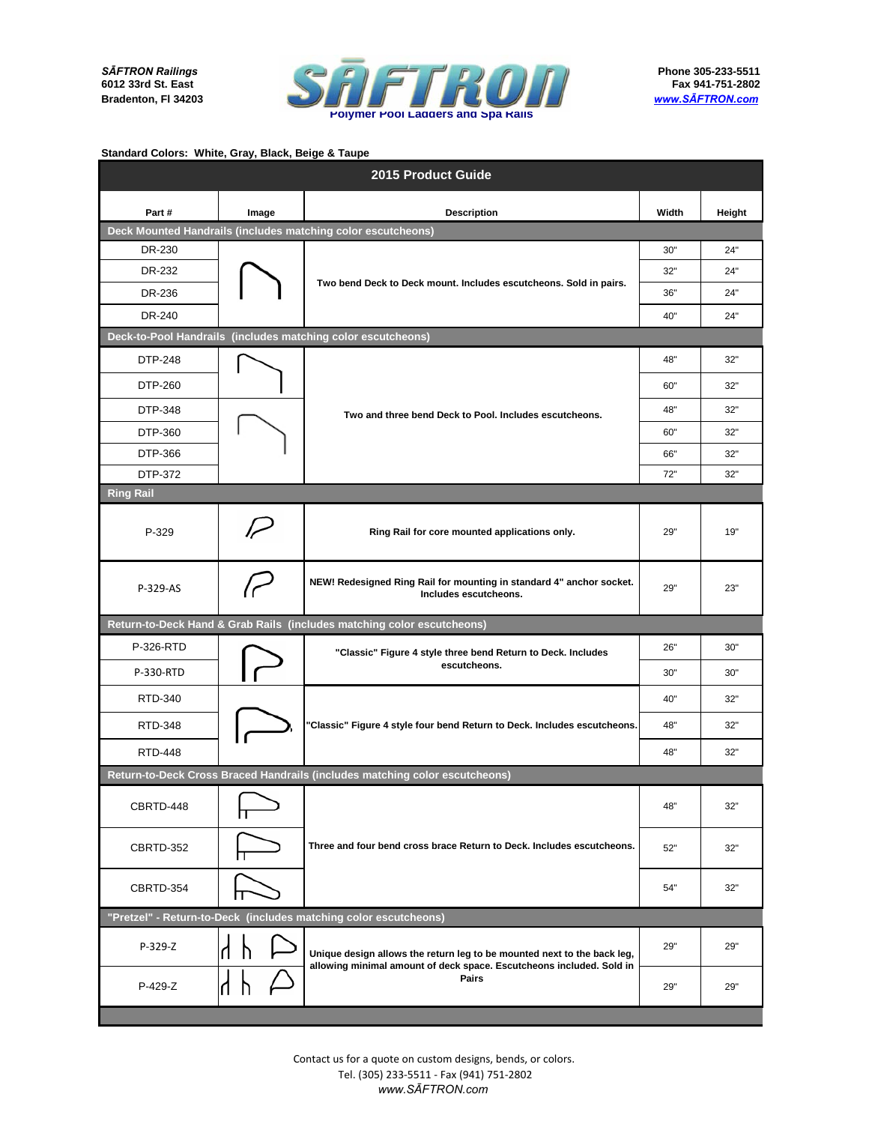*SĀFTRON Railings* **6012 33rd St. East Bradenton, Fl 34203**



| 2015 Product Guide                                               |       |                                                                                                                                                 |       |        |  |
|------------------------------------------------------------------|-------|-------------------------------------------------------------------------------------------------------------------------------------------------|-------|--------|--|
| Part#                                                            | Image | <b>Description</b>                                                                                                                              | Width | Height |  |
|                                                                  |       | Deck Mounted Handrails (includes matching color escutcheons)                                                                                    |       |        |  |
| DR-230                                                           |       |                                                                                                                                                 | 30"   | 24"    |  |
| DR-232                                                           |       | Two bend Deck to Deck mount. Includes escutcheons. Sold in pairs.                                                                               | 32"   | 24"    |  |
| DR-236                                                           |       |                                                                                                                                                 | 36"   | 24"    |  |
| DR-240                                                           |       |                                                                                                                                                 | 40"   | 24"    |  |
|                                                                  |       | Deck-to-Pool Handrails (includes matching color escutcheons)                                                                                    |       |        |  |
| DTP-248                                                          |       |                                                                                                                                                 | 48"   | 32"    |  |
| DTP-260                                                          |       |                                                                                                                                                 | 60"   | 32"    |  |
| DTP-348                                                          |       | Two and three bend Deck to Pool. Includes escutcheons.                                                                                          | 48"   | 32"    |  |
| DTP-360                                                          |       |                                                                                                                                                 | 60"   | 32"    |  |
| DTP-366                                                          |       |                                                                                                                                                 | 66"   | 32"    |  |
| DTP-372                                                          |       |                                                                                                                                                 | 72"   | 32"    |  |
| <b>Ring Rail</b>                                                 |       |                                                                                                                                                 |       |        |  |
| P-329                                                            |       | Ring Rail for core mounted applications only.                                                                                                   | 29"   | 19"    |  |
| P-329-AS                                                         | سرا   | NEW! Redesigned Ring Rail for mounting in standard 4" anchor socket.<br>Includes escutcheons.                                                   | 29"   | 23"    |  |
|                                                                  |       | Return-to-Deck Hand & Grab Rails (includes matching color escutcheons)                                                                          |       |        |  |
| P-326-RTD                                                        |       | "Classic" Figure 4 style three bend Return to Deck. Includes                                                                                    | 26"   | 30"    |  |
| P-330-RTD                                                        |       | escutcheons.                                                                                                                                    | 30"   | 30"    |  |
| RTD-340                                                          |       |                                                                                                                                                 | 40"   | 32"    |  |
| RTD-348                                                          |       | "Classic" Figure 4 style four bend Return to Deck. Includes escutcheons.                                                                        | 48"   | 32"    |  |
| <b>RTD-448</b>                                                   |       |                                                                                                                                                 | 48"   | 32"    |  |
|                                                                  |       | Return-to-Deck Cross Braced Handrails (includes matching color escutcheons)                                                                     |       |        |  |
| CBRTD-448                                                        |       |                                                                                                                                                 | 48"   | 32"    |  |
| CBRTD-352                                                        |       | Three and four bend cross brace Return to Deck. Includes escutcheons.                                                                           | 52"   | 32"    |  |
| CBRTD-354                                                        |       |                                                                                                                                                 | 54"   | 32"    |  |
| "Pretzel" - Return-to-Deck (includes matching color escutcheons) |       |                                                                                                                                                 |       |        |  |
| P-329-Z                                                          |       | Unique design allows the return leg to be mounted next to the back leg,<br>allowing minimal amount of deck space. Escutcheons included. Sold in | 29"   | 29"    |  |
| P-429-Z                                                          |       | Pairs                                                                                                                                           | 29"   | 29"    |  |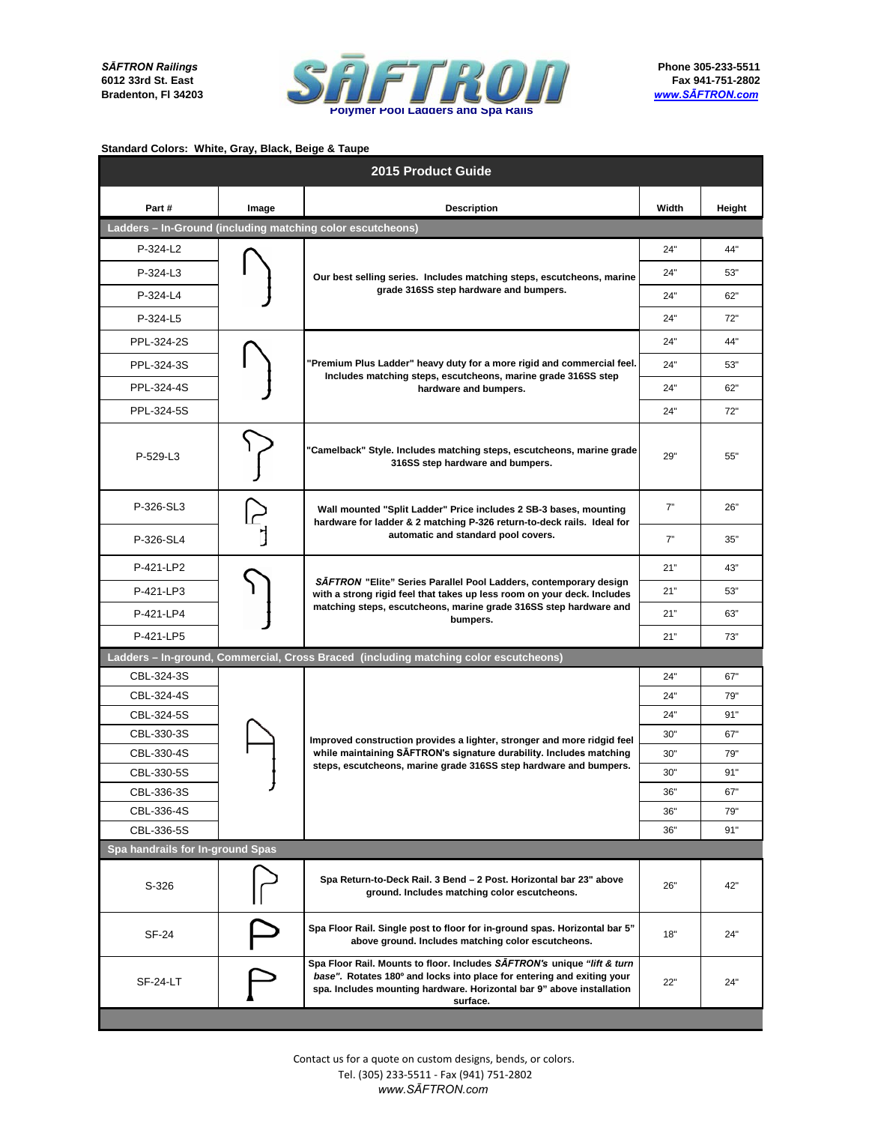

| 2015 Product Guide               |       |                                                                                                                                                                                                                                        |       |        |  |
|----------------------------------|-------|----------------------------------------------------------------------------------------------------------------------------------------------------------------------------------------------------------------------------------------|-------|--------|--|
| Part#                            | Image | <b>Description</b>                                                                                                                                                                                                                     | Width | Height |  |
|                                  |       | Ladders - In-Ground (including matching color escutcheons)                                                                                                                                                                             |       |        |  |
| $P-324-L2$                       |       |                                                                                                                                                                                                                                        | 24"   | 44"    |  |
| $P-324-L3$                       |       | Our best selling series. Includes matching steps, escutcheons, marine                                                                                                                                                                  | 24"   | 53"    |  |
| P-324-L4                         |       | grade 316SS step hardware and bumpers.                                                                                                                                                                                                 | 24"   | 62"    |  |
| P-324-L5                         |       |                                                                                                                                                                                                                                        | 24"   | 72"    |  |
| PPL-324-2S                       |       |                                                                                                                                                                                                                                        | 24"   | 44"    |  |
| PPL-324-3S                       |       | "Premium Plus Ladder" heavy duty for a more rigid and commercial feel.                                                                                                                                                                 | 24"   | 53"    |  |
| PPL-324-4S                       |       | Includes matching steps, escutcheons, marine grade 316SS step<br>hardware and bumpers.                                                                                                                                                 | 24"   | 62"    |  |
| PPL-324-5S                       |       |                                                                                                                                                                                                                                        | 24"   | 72"    |  |
| P-529-L3                         |       | "Camelback" Style. Includes matching steps, escutcheons, marine grade<br>316SS step hardware and bumpers.                                                                                                                              | 29"   | 55"    |  |
| P-326-SL3                        |       | Wall mounted "Split Ladder" Price includes 2 SB-3 bases, mounting<br>hardware for ladder & 2 matching P-326 return-to-deck rails. Ideal for<br>automatic and standard pool covers.                                                     | 7"    | 26"    |  |
| P-326-SL4                        |       |                                                                                                                                                                                                                                        | 7"    | 35"    |  |
| P-421-LP2                        |       | SAFTRON "Elite" Series Parallel Pool Ladders, contemporary design<br>with a strong rigid feel that takes up less room on your deck. Includes<br>matching steps, escutcheons, marine grade 316SS step hardware and<br>bumpers.          | 21"   | 43"    |  |
| P-421-LP3                        |       |                                                                                                                                                                                                                                        | 21"   | 53"    |  |
| P-421-LP4                        |       |                                                                                                                                                                                                                                        | 21"   | 63"    |  |
| P-421-LP5                        |       |                                                                                                                                                                                                                                        | 21"   | 73"    |  |
|                                  |       | Ladders – In-ground, Commercial, Cross Braced (including matching color escutcheons)                                                                                                                                                   |       |        |  |
| CBL-324-3S                       |       | Improved construction provides a lighter, stronger and more ridgid feel<br>while maintaining SAFTRON's signature durability. Includes matching<br>steps, escutcheons, marine grade 316SS step hardware and bumpers.                    | 24"   | 67"    |  |
| CBL-324-4S                       |       |                                                                                                                                                                                                                                        | 24"   | 79"    |  |
| CBL-324-5S                       |       |                                                                                                                                                                                                                                        | 24"   | 91"    |  |
| CBL-330-3S                       |       |                                                                                                                                                                                                                                        | 30"   | 67"    |  |
| CBL-330-4S                       |       |                                                                                                                                                                                                                                        | 30"   | 79"    |  |
| CBL-330-5S                       |       |                                                                                                                                                                                                                                        | 30"   | 91"    |  |
| CBL-336-3S                       |       |                                                                                                                                                                                                                                        | 36"   | 67"    |  |
| CBL-336-4S                       |       |                                                                                                                                                                                                                                        | 36"   | 79"    |  |
| CBL-336-5S                       |       |                                                                                                                                                                                                                                        | 36"   | 91"    |  |
| Spa handrails for In-ground Spas |       |                                                                                                                                                                                                                                        |       |        |  |
| S-326                            |       | Spa Return-to-Deck Rail. 3 Bend - 2 Post. Horizontal bar 23" above<br>ground. Includes matching color escutcheons.                                                                                                                     | 26"   | 42"    |  |
| SF-24                            |       | Spa Floor Rail. Single post to floor for in-ground spas. Horizontal bar 5"<br>above ground. Includes matching color escutcheons.                                                                                                       | 18"   | 24"    |  |
| SF-24-LT                         |       | Spa Floor Rail. Mounts to floor. Includes SAFTRON's unique "lift & turn<br>base". Rotates 180° and locks into place for entering and exiting your<br>spa. Includes mounting hardware. Horizontal bar 9" above installation<br>surface. | 22"   | 24"    |  |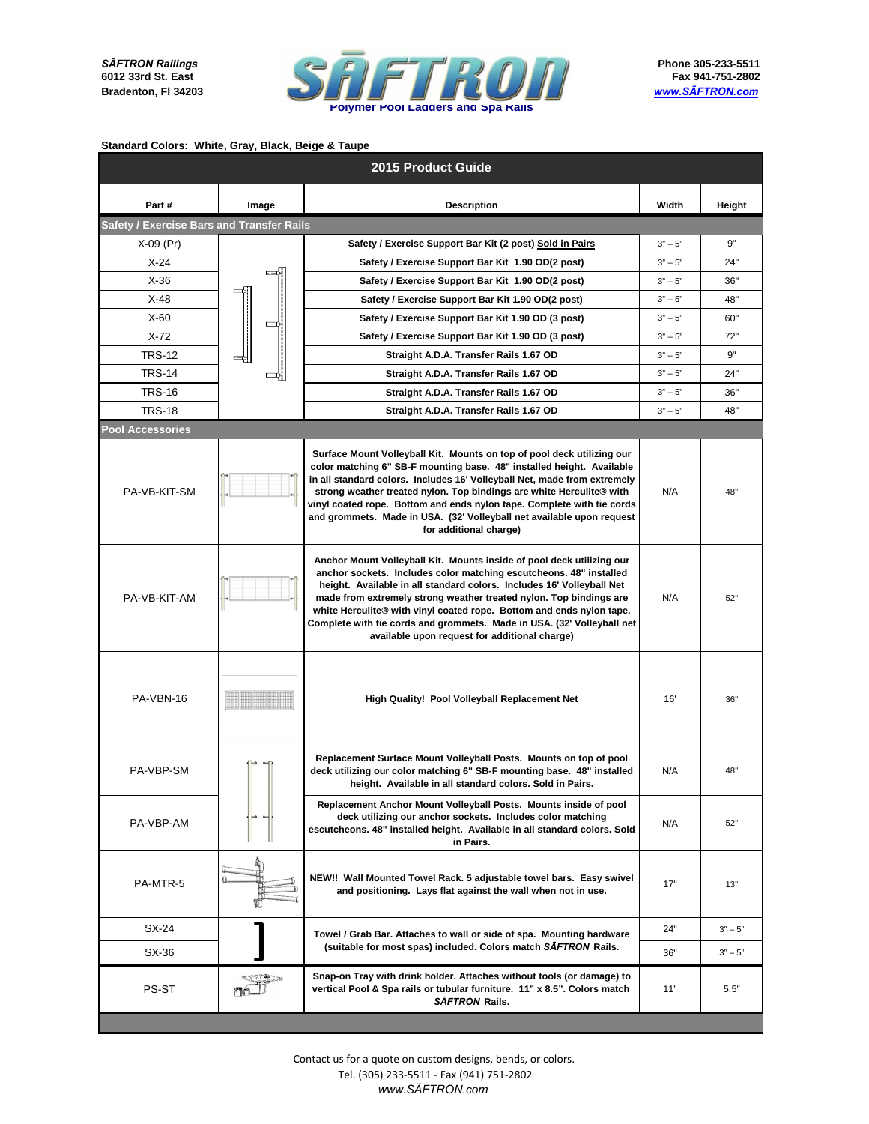

|                                           |       | 2015 Product Guide                                                                                                                                                                                                                                                                                                                                                                                                                                                                            |           |           |
|-------------------------------------------|-------|-----------------------------------------------------------------------------------------------------------------------------------------------------------------------------------------------------------------------------------------------------------------------------------------------------------------------------------------------------------------------------------------------------------------------------------------------------------------------------------------------|-----------|-----------|
| Part#                                     | Image | <b>Description</b>                                                                                                                                                                                                                                                                                                                                                                                                                                                                            | Width     | Height    |
| Safety / Exercise Bars and Transfer Rails |       |                                                                                                                                                                                                                                                                                                                                                                                                                                                                                               |           |           |
| $X-09$ (Pr)                               |       | Safety / Exercise Support Bar Kit (2 post) Sold in Pairs                                                                                                                                                                                                                                                                                                                                                                                                                                      | $3" - 5"$ | 9"        |
| $X-24$                                    |       | Safety / Exercise Support Bar Kit 1.90 OD(2 post)                                                                                                                                                                                                                                                                                                                                                                                                                                             | $3" - 5"$ | 24"       |
| $X-36$                                    |       | Safety / Exercise Support Bar Kit 1.90 OD(2 post)                                                                                                                                                                                                                                                                                                                                                                                                                                             | $3" - 5"$ | 36"       |
| $X-48$                                    |       | Safety / Exercise Support Bar Kit 1.90 OD(2 post)                                                                                                                                                                                                                                                                                                                                                                                                                                             | $3" - 5"$ | 48"       |
| $X-60$                                    |       | Safety / Exercise Support Bar Kit 1.90 OD (3 post)                                                                                                                                                                                                                                                                                                                                                                                                                                            | $3" - 5"$ | 60"       |
| $X-72$                                    |       | Safety / Exercise Support Bar Kit 1.90 OD (3 post)                                                                                                                                                                                                                                                                                                                                                                                                                                            | $3" - 5"$ | 72"       |
| <b>TRS-12</b>                             |       | Straight A.D.A. Transfer Rails 1.67 OD                                                                                                                                                                                                                                                                                                                                                                                                                                                        | $3" - 5"$ | 9"        |
| <b>TRS-14</b>                             |       | Straight A.D.A. Transfer Rails 1.67 OD                                                                                                                                                                                                                                                                                                                                                                                                                                                        | $3" - 5"$ | 24"       |
| <b>TRS-16</b>                             |       | Straight A.D.A. Transfer Rails 1.67 OD                                                                                                                                                                                                                                                                                                                                                                                                                                                        | $3" - 5"$ | 36"       |
| <b>TRS-18</b>                             |       | Straight A.D.A. Transfer Rails 1.67 OD                                                                                                                                                                                                                                                                                                                                                                                                                                                        | $3" - 5"$ | 48"       |
| <b>Pool Accessories</b>                   |       |                                                                                                                                                                                                                                                                                                                                                                                                                                                                                               |           |           |
| PA-VB-KIT-SM                              |       | Surface Mount Volleyball Kit. Mounts on top of pool deck utilizing our<br>color matching 6" SB-F mounting base. 48" installed height. Available<br>in all standard colors. Includes 16' Volleyball Net, made from extremely<br>strong weather treated nylon. Top bindings are white Herculite® with<br>vinyl coated rope. Bottom and ends nylon tape. Complete with tie cords<br>and grommets. Made in USA. (32' Volleyball net available upon request<br>for additional charge)              | N/A       | 48"       |
| PA-VB-KIT-AM                              |       | Anchor Mount Volleyball Kit. Mounts inside of pool deck utilizing our<br>anchor sockets. Includes color matching escutcheons. 48" installed<br>height. Available in all standard colors. Includes 16' Volleyball Net<br>made from extremely strong weather treated nylon. Top bindings are<br>white Herculite® with vinyl coated rope. Bottom and ends nylon tape.<br>Complete with tie cords and grommets. Made in USA. (32' Volleyball net<br>available upon request for additional charge) | N/A       | 52"       |
| PA-VBN-16                                 |       | High Quality! Pool Volleyball Replacement Net                                                                                                                                                                                                                                                                                                                                                                                                                                                 | 16'       | 36"       |
| PA-VBP-SM                                 |       | Replacement Surface Mount Volleyball Posts. Mounts on top of pool<br>deck utilizing our color matching 6" SB-F mounting base. 48" installed<br>height. Available in all standard colors. Sold in Pairs.                                                                                                                                                                                                                                                                                       | N/A       | 48"       |
| PA-VBP-AM                                 |       | Replacement Anchor Mount Volleyball Posts. Mounts inside of pool<br>deck utilizing our anchor sockets. Includes color matching<br>escutcheons. 48" installed height. Available in all standard colors. Sold<br>in Pairs.                                                                                                                                                                                                                                                                      | N/A       | 52"       |
| PA-MTR-5                                  |       | NEW!! Wall Mounted Towel Rack. 5 adjustable towel bars. Easy swivel<br>and positioning. Lays flat against the wall when not in use.                                                                                                                                                                                                                                                                                                                                                           | 17"       | 13"       |
| SX-24                                     |       | Towel / Grab Bar. Attaches to wall or side of spa. Mounting hardware                                                                                                                                                                                                                                                                                                                                                                                                                          | 24"       | $3" - 5"$ |
| SX-36                                     |       | (suitable for most spas) included. Colors match SAFTRON Rails.                                                                                                                                                                                                                                                                                                                                                                                                                                | 36"       | $3" - 5"$ |
| PS-ST                                     |       | Snap-on Tray with drink holder. Attaches without tools (or damage) to<br>vertical Pool & Spa rails or tubular furniture. 11" x 8.5". Colors match<br>SĀFTRON Rails.                                                                                                                                                                                                                                                                                                                           | 11"       | 5.5"      |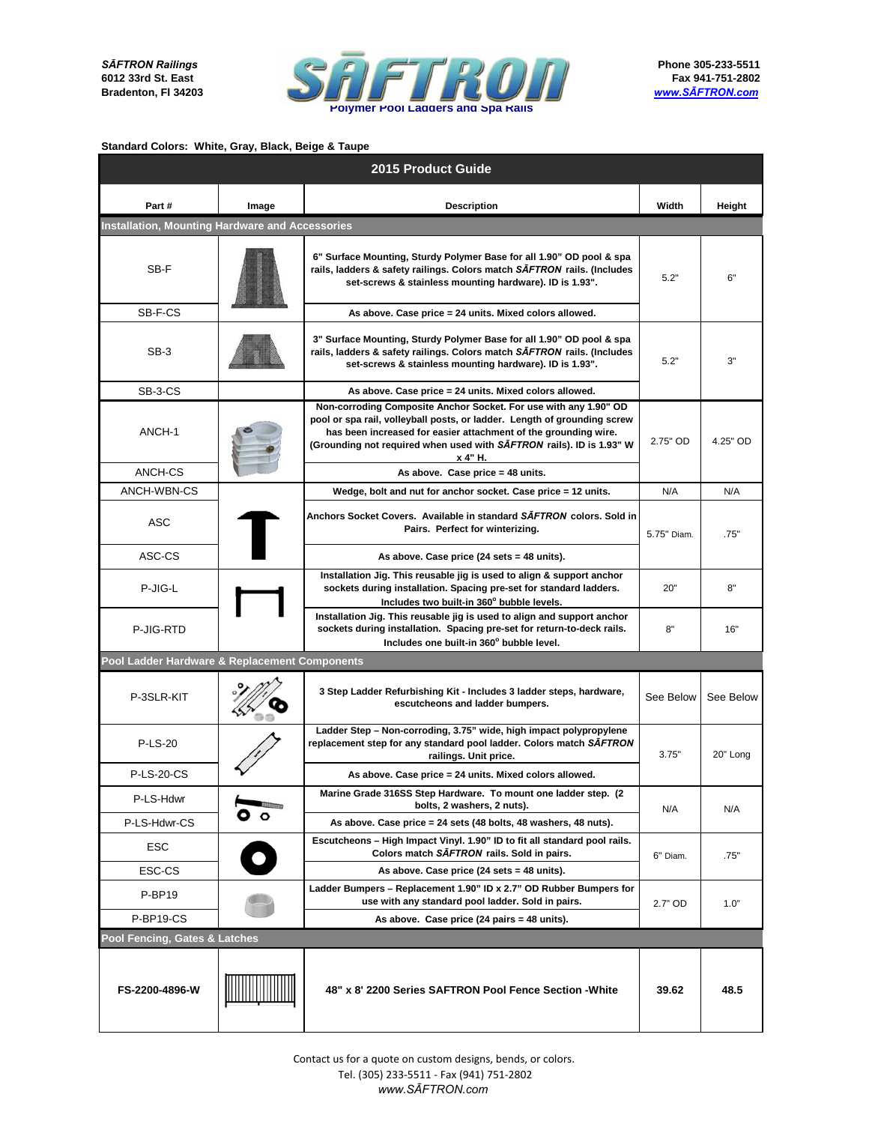

| 2015 Product Guide                                     |                                                                                                                                                                                                                                      |                                                                                                                                                                                                                                                                                                    |             |           |  |
|--------------------------------------------------------|--------------------------------------------------------------------------------------------------------------------------------------------------------------------------------------------------------------------------------------|----------------------------------------------------------------------------------------------------------------------------------------------------------------------------------------------------------------------------------------------------------------------------------------------------|-------------|-----------|--|
| Part#                                                  | Image                                                                                                                                                                                                                                | <b>Description</b>                                                                                                                                                                                                                                                                                 | Width       | Height    |  |
| <b>Installation, Mounting Hardware and Accessories</b> |                                                                                                                                                                                                                                      |                                                                                                                                                                                                                                                                                                    |             |           |  |
| SB-F                                                   |                                                                                                                                                                                                                                      | 6" Surface Mounting, Sturdy Polymer Base for all 1.90" OD pool & spa<br>rails, ladders & safety railings. Colors match SAFTRON rails. (Includes<br>set-screws & stainless mounting hardware). ID is 1.93".                                                                                         | 5.2"        | 6"        |  |
| SB-F-CS                                                |                                                                                                                                                                                                                                      | As above. Case price = 24 units. Mixed colors allowed.                                                                                                                                                                                                                                             |             |           |  |
| SB-3                                                   |                                                                                                                                                                                                                                      | 3" Surface Mounting, Sturdy Polymer Base for all 1.90" OD pool & spa<br>rails, ladders & safety railings. Colors match SAFTRON rails. (Includes<br>set-screws & stainless mounting hardware). ID is 1.93".                                                                                         | 5.2"        | 3"        |  |
| SB-3-CS                                                |                                                                                                                                                                                                                                      | As above. Case price = 24 units. Mixed colors allowed.                                                                                                                                                                                                                                             |             |           |  |
| ANCH-1                                                 |                                                                                                                                                                                                                                      | Non-corroding Composite Anchor Socket. For use with any 1.90" OD<br>pool or spa rail, volleyball posts, or ladder. Length of grounding screw<br>has been increased for easier attachment of the grounding wire.<br>(Grounding not required when used with SAFTRON rails). ID is 1.93" W<br>x 4" H. | 2.75" OD    | 4.25" OD  |  |
| ANCH-CS                                                |                                                                                                                                                                                                                                      | As above. Case price = 48 units.                                                                                                                                                                                                                                                                   |             |           |  |
| ANCH-WBN-CS                                            |                                                                                                                                                                                                                                      | Wedge, bolt and nut for anchor socket. Case price = 12 units.                                                                                                                                                                                                                                      | N/A         | N/A       |  |
| <b>ASC</b>                                             |                                                                                                                                                                                                                                      | Anchors Socket Covers. Available in standard SAFTRON colors. Sold in<br>Pairs. Perfect for winterizing.                                                                                                                                                                                            | 5.75" Diam. | .75"      |  |
| ASC-CS                                                 |                                                                                                                                                                                                                                      | As above. Case price (24 sets = 48 units).                                                                                                                                                                                                                                                         |             |           |  |
| P-JIG-L                                                |                                                                                                                                                                                                                                      | Installation Jig. This reusable jig is used to align & support anchor<br>sockets during installation. Spacing pre-set for standard ladders.<br>Includes two built-in 360° bubble levels.                                                                                                           | 20"         | 8"        |  |
| P-JIG-RTD                                              |                                                                                                                                                                                                                                      | Installation Jig. This reusable jig is used to align and support anchor<br>sockets during installation. Spacing pre-set for return-to-deck rails.<br>Includes one built-in 360° bubble level.                                                                                                      | 8"          | 16"       |  |
| Pool Ladder Hardware & Replacement Components          |                                                                                                                                                                                                                                      |                                                                                                                                                                                                                                                                                                    |             |           |  |
| P-3SLR-KIT                                             |                                                                                                                                                                                                                                      | 3 Step Ladder Refurbishing Kit - Includes 3 ladder steps, hardware,<br>escutcheons and ladder bumpers.                                                                                                                                                                                             | See Below   | See Below |  |
| <b>P-LS-20</b>                                         |                                                                                                                                                                                                                                      | Ladder Step - Non-corroding, 3.75" wide, high impact polypropylene<br>replacement step for any standard pool ladder. Colors match SAFTRON<br>railings. Unit price.                                                                                                                                 | 3.75"       | 20" Long  |  |
| <b>P-LS-20-CS</b>                                      |                                                                                                                                                                                                                                      | As above. Case price = 24 units. Mixed colors allowed.                                                                                                                                                                                                                                             |             |           |  |
| P-LS-Hdwr                                              | <b>The Contract of the Contract of the Contract of the Contract of the Contract of the Contract of the Contract of the Contract of the Contract of the Contract of the Contract of the Contract of the Contract of the Contract </b> | Marine Grade 316SS Step Hardware. To mount one ladder step. (2<br>bolts, 2 washers, 2 nuts).                                                                                                                                                                                                       | N/A         | N/A       |  |
| P-LS-Hdwr-CS                                           | $\bullet$ $\circ$                                                                                                                                                                                                                    | As above. Case price = 24 sets (48 bolts, 48 washers, 48 nuts).                                                                                                                                                                                                                                    |             |           |  |
| ESC                                                    |                                                                                                                                                                                                                                      | Escutcheons - High Impact Vinyl. 1.90" ID to fit all standard pool rails.<br>Colors match SAFTRON rails. Sold in pairs.                                                                                                                                                                            | 6" Diam.    | .75"      |  |
| ESC-CS                                                 |                                                                                                                                                                                                                                      | As above. Case price (24 sets = 48 units).                                                                                                                                                                                                                                                         |             |           |  |
| P-BP19                                                 |                                                                                                                                                                                                                                      | Ladder Bumpers - Replacement 1.90" ID x 2.7" OD Rubber Bumpers for<br>use with any standard pool ladder. Sold in pairs.                                                                                                                                                                            | 2.7" OD     | 1.0"      |  |
| P-BP19-CS                                              |                                                                                                                                                                                                                                      | As above. Case price (24 pairs = 48 units).                                                                                                                                                                                                                                                        |             |           |  |
| Pool Fencing, Gates & Latches                          |                                                                                                                                                                                                                                      |                                                                                                                                                                                                                                                                                                    |             |           |  |
| FS-2200-4896-W                                         |                                                                                                                                                                                                                                      | 48" x 8' 2200 Series SAFTRON Pool Fence Section - White                                                                                                                                                                                                                                            | 39.62       | 48.5      |  |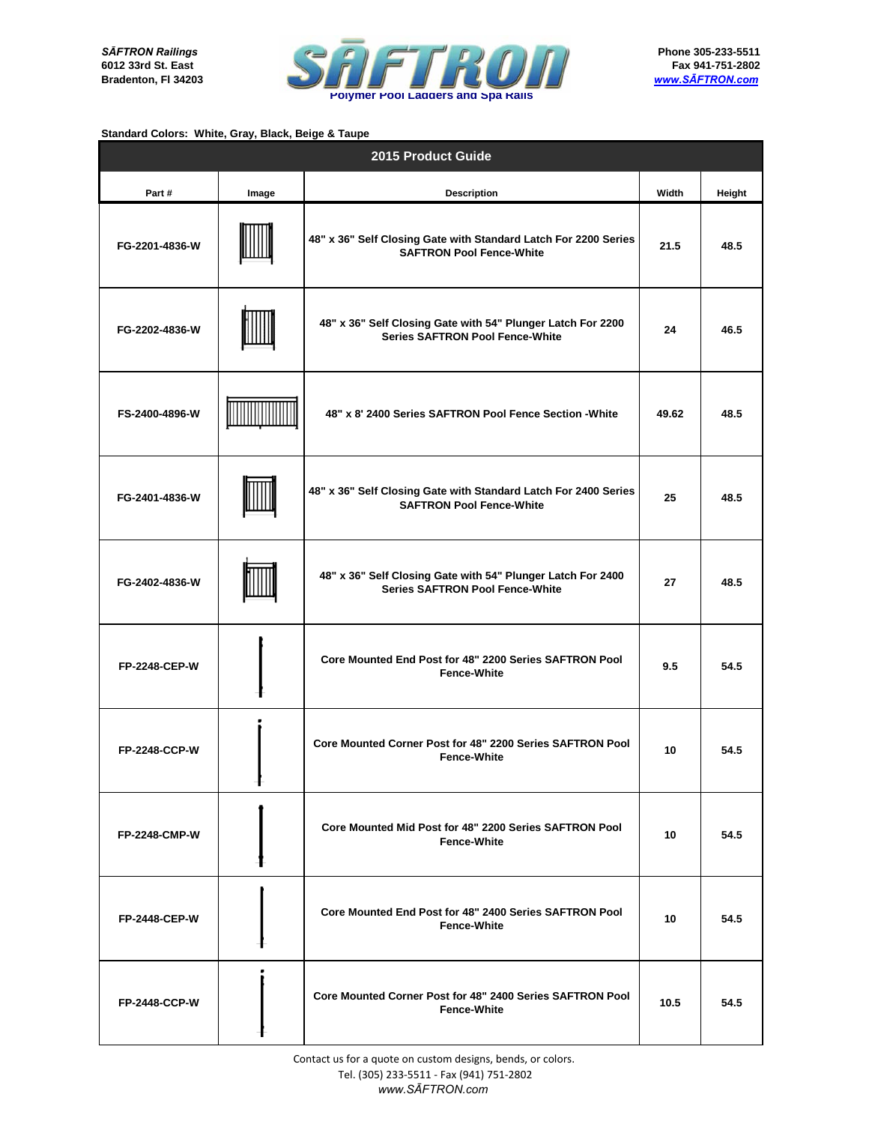

| 2015 Product Guide   |       |                                                                                                       |       |        |  |
|----------------------|-------|-------------------------------------------------------------------------------------------------------|-------|--------|--|
| Part#                | Image | <b>Description</b>                                                                                    | Width | Height |  |
| FG-2201-4836-W       |       | 48" x 36" Self Closing Gate with Standard Latch For 2200 Series<br><b>SAFTRON Pool Fence-White</b>    | 21.5  | 48.5   |  |
| FG-2202-4836-W       |       | 48" x 36" Self Closing Gate with 54" Plunger Latch For 2200<br><b>Series SAFTRON Pool Fence-White</b> | 24    | 46.5   |  |
| FS-2400-4896-W       |       | 48" x 8' 2400 Series SAFTRON Pool Fence Section - White                                               | 49.62 | 48.5   |  |
| FG-2401-4836-W       |       | 48" x 36" Self Closing Gate with Standard Latch For 2400 Series<br><b>SAFTRON Pool Fence-White</b>    | 25    | 48.5   |  |
| FG-2402-4836-W       |       | 48" x 36" Self Closing Gate with 54" Plunger Latch For 2400<br><b>Series SAFTRON Pool Fence-White</b> | 27    | 48.5   |  |
| <b>FP-2248-CEP-W</b> |       | Core Mounted End Post for 48" 2200 Series SAFTRON Pool<br><b>Fence-White</b>                          | 9.5   | 54.5   |  |
| <b>FP-2248-CCP-W</b> | t     | Core Mounted Corner Post for 48" 2200 Series SAFTRON Pool<br><b>Fence-White</b>                       | 10    | 54.5   |  |
| <b>FP-2248-CMP-W</b> |       | Core Mounted Mid Post for 48" 2200 Series SAFTRON Pool<br><b>Fence-White</b>                          | 10    | 54.5   |  |
| <b>FP-2448-CEP-W</b> |       | Core Mounted End Post for 48" 2400 Series SAFTRON Pool<br><b>Fence-White</b>                          | 10    | 54.5   |  |
| <b>FP-2448-CCP-W</b> |       | Core Mounted Corner Post for 48" 2400 Series SAFTRON Pool<br><b>Fence-White</b>                       | 10.5  | 54.5   |  |